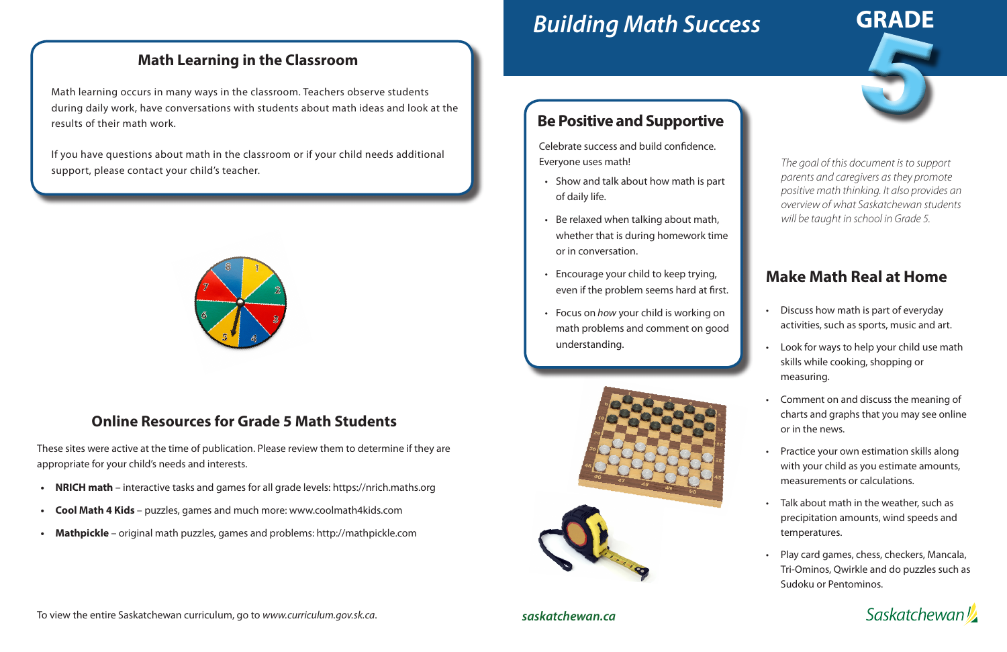# *Building Math Success*

# **Make Math Real at Home**

- Discuss how math is part of everyday activities, such as sports, music and art.
- Look for ways to help your child use math skills while cooking, shopping or measuring.
- Comment on and discuss the meaning of charts and graphs that you may see online or in the news.
- Practice your own estimation skills along with your child as you estimate amounts, measurements or calculations.
- Talk about math in the weather, such as precipitation amounts, wind speeds and temperatures.
- Play card games, chess, checkers, Mancala, Tri-Ominos, Qwirkle and do puzzles such as Sudoku or Pentominos.

**Saskatchewan** 



## **Be Positive and Supportive**

Celebrate success and build confidence. Everyone uses math!

- Show and talk about how math is part of daily life.
- Be relaxed when talking about math, whether that is during homework time or in conversation.
- Encourage your child to keep trying, even if the problem seems hard at first.
- Focus on *how* your child is working on math problems and comment on good understanding.



*The goal of this document is to support parents and caregivers as they promote positive math thinking. It also provides an overview of what Saskatchewan students will be taught in school in Grade 5.*

#### **Math Learning in the Classroom**

Math learning occurs in many ways in the classroom. Teachers observe students during daily work, have conversations with students about math ideas and look at the results of their math work.

If you have questions about math in the classroom or if your child needs additional support, please contact your child's teacher.



#### **Online Resources for Grade 5 Math Students**

These sites were active at the time of publication. Please review them to determine if they are appropriate for your child's needs and interests.

- **• NRICH math**  interactive tasks and games for all grade levels: https://nrich.maths.org
- **• Cool Math 4 Kids**  puzzles, games and much more: www.coolmath4kids.com
- **• Mathpickle**  original math puzzles, games and problems: http://mathpickle.com